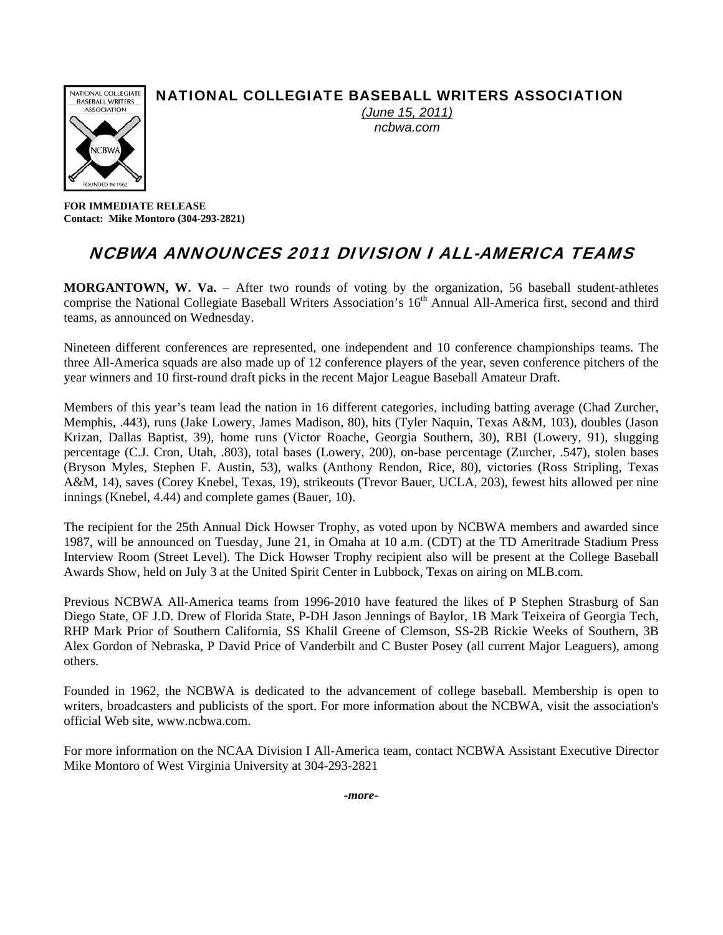### NATIONAL COLLEGIATE BASEBALL WRITERS ASSOCIATION



*(June 15, 2011) ncbwa.com* 

**FOR IMMEDIATE RELEASE Contact: Mike Montoro (304-293-2821)** 

## NCBWA ANNOUNCES 2011 DIVISION I ALL-AMERICA TEAMS

**MORGANTOWN, W. Va.** – After two rounds of voting by the organization, 56 baseball student-athletes comprise the National Collegiate Baseball Writers Association's 16<sup>th</sup> Annual All-America first, second and third teams, as announced on Wednesday.

Nineteen different conferences are represented, one independent and 10 conference championships teams. The three All-America squads are also made up of 12 conference players of the year, seven conference pitchers of the year winners and 10 first-round draft picks in the recent Major League Baseball Amateur Draft.

Members of this year's team lead the nation in 16 different categories, including batting average (Chad Zurcher, Memphis, .443), runs (Jake Lowery, James Madison, 80), hits (Tyler Naquin, Texas A&M, 103), doubles (Jason Krizan, Dallas Baptist, 39), home runs (Victor Roache, Georgia Southern, 30), RBI (Lowery, 91), slugging percentage (C.J. Cron, Utah, .803), total bases (Lowery, 200), on-base percentage (Zurcher, .547), stolen bases (Bryson Myles, Stephen F. Austin, 53), walks (Anthony Rendon, Rice, 80), victories (Ross Stripling, Texas A&M, 14), saves (Corey Knebel, Texas, 19), strikeouts (Trevor Bauer, UCLA, 203), fewest hits allowed per nine innings (Knebel, 4.44) and complete games (Bauer, 10).

The recipient for the 25th Annual Dick Howser Trophy, as voted upon by NCBWA members and awarded since 1987, will be announced on Tuesday, June 21, in Omaha at 10 a.m. (CDT) at the TD Ameritrade Stadium Press Interview Room (Street Level). The Dick Howser Trophy recipient also will be present at the College Baseball Awards Show, held on July 3 at the United Spirit Center in Lubbock, Texas on airing on MLB.com.

Previous NCBWA All-America teams from 1996-2010 have featured the likes of P Stephen Strasburg of San Diego State, OF J.D. Drew of Florida State, P-DH Jason Jennings of Baylor, 1B Mark Teixeira of Georgia Tech, RHP Mark Prior of Southern California, SS Khalil Greene of Clemson, SS-2B Rickie Weeks of Southern, 3B Alex Gordon of Nebraska, P David Price of Vanderbilt and C Buster Posey (all current Major Leaguers), among others.

Founded in 1962, the NCBWA is dedicated to the advancement of college baseball. Membership is open to writers, broadcasters and publicists of the sport. For more information about the NCBWA, visit the association's official Web site, www.ncbwa.com.

For more information on the NCAA Division I All-America team, contact NCBWA Assistant Executive Director Mike Montoro of West Virginia University at 304-293-2821

*-more-*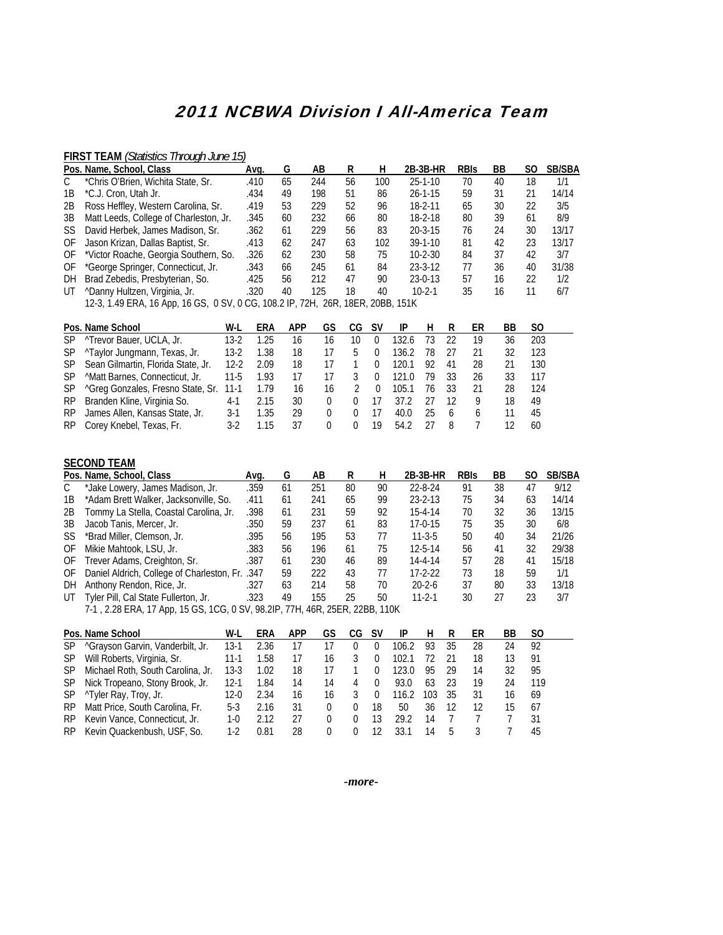# 2011 NCBWA Division I All-America Team

### **FIRST TEAM** *(Statistics Through June 15)*

|     | Pos. Name, School, Class                         | Ava. | G                     | AB  | R  | н                                    | 2B 3B HR      | <b>RBIS</b> | ВB | S0 | <b>SB/SBA</b> |
|-----|--------------------------------------------------|------|-----------------------|-----|----|--------------------------------------|---------------|-------------|----|----|---------------|
|     | *Chris O'Brien, Wichita State, Sr.               | .410 | 65                    | 244 | 56 | 100                                  | $25 - 1 - 10$ | 70          | 40 | 18 | 1/1           |
| 1B  | *C.J. Cron, Utah Jr.                             | .434 | 49                    | 198 | 51 | 86                                   | $26 - 1 - 15$ | 59          | 31 | 21 | 14/14         |
| 2B  | Ross Heffley, Western Carolina, Sr.              | .419 | 53                    | 229 | 52 | 96                                   | 18-2-11       | 65          | 30 | 22 | 3/5           |
| 3B  | Matt Leeds, College of Charleston, Jr.           | .345 | 60                    | 232 | 66 | 80                                   | 18-2-18       | 80          | 39 | 61 | 8/9           |
| SS  | David Herbek, James Madison, Sr.                 | .362 | 61                    | 229 | 56 | 83                                   | $20 - 3 - 15$ | 76          | 24 | 30 | 13/17         |
| OF  | Jason Krizan, Dallas Baptist, Sr.                | .413 | 62                    | 247 | 63 | 102                                  | $39-1-10$     | 81          | 42 | 23 | 13/17         |
| 0F  | *Victor Roache, Georgia Southern, So.            | .326 | 62                    | 230 | 58 | 75                                   | $10 - 2 - 30$ | 84          | 37 | 42 | 3/7           |
| 0F  | *George Springer, Connecticut, Jr.               | .343 | 66                    | 245 | 61 | 84                                   | $23 - 3 - 12$ | 77          | 36 | 40 | 31/38         |
| DH. | Brad Zebedis, Presbyterian, So.                  | .425 | 56                    | 212 | 47 | 90                                   | $23-0-13$     | 57          | 16 | 22 | 1/2           |
| UT  | "Danny Hultzen, Virginia, Jr.                    | .320 | 40                    | 125 | 18 | 40                                   | $10 - 2 - 1$  | 35          | 16 | 11 | 6/7           |
|     | 122 140 FDA 14 Apr 14 CC $\alpha$ CV $\alpha$ CC |      | <u>. וורד חור חחר</u> |     |    | $25.0$ 10 $\sqrt{20}$ 10 $\sqrt{21}$ |               |             |    |    |               |

12-3, 1.49 ERA, 16 App, 16 GS, 0 SV, 0 CG, 108.2 IP, 72H, 26R, 18ER, 20BB, 151K

|     | Pos. Name School                                   | W-L    | ERA  | <b>APP</b> | GS | CG | - SV     | IP    |    |            | ER | BB. | S0  |
|-----|----------------------------------------------------|--------|------|------------|----|----|----------|-------|----|------------|----|-----|-----|
| SP. | <sup>^</sup> Trevor Bauer, UCLA, Jr.               | 13-2   | 1.25 | 16         | 16 | 10 | $\Omega$ | 132.6 | 73 | 22         | 19 | 36  | 203 |
| SP. | <sup>^</sup> Taylor Jungmann, Texas, Jr.           | $13-2$ | 1.38 | 18         |    | b. | $\Omega$ | 136.2 | 78 |            |    | 32  | 123 |
| SP. | Sean Gilmartin, Florida State, Jr.                 | $12-2$ | 2.09 | 18         |    |    | 0        | 120.1 | 92 | 41         | 28 |     | 130 |
| SP. | <sup>^</sup> Matt Barnes, Connecticut, Jr.         | $11-5$ | 1.93 | 17         |    |    | $\Omega$ | 121.0 | 79 | 33         | 26 | 33  | 117 |
| SP. | <sup>^</sup> Greg Gonzales, Fresno State, Sr. 11-1 |        | 1.79 | 16         | 16 |    |          | 105.1 | 76 | 33         |    | 28  | 124 |
| RP. | Branden Kline, Virginia So.                        | 4-1    | 2.15 | 30         | 0  |    | 17       | 372   |    | 12         |    | 18  | 49  |
| RP. | James Allen, Kansas State, Jr.                     | 3-1    | 1.35 | 29         | 0  |    | 17       | 40.O  | 25 | $\sqrt{2}$ |    |     | 45  |
| RP. | Corey Knebel, Texas, Fr.                           | 3-2    | 1 15 | 37         | 0  |    | 19       | 54.2  |    |            |    |     | 60  |

|              | <b>SECOND TEAM</b>                                                          |      |    |     |    |    |               |             |    |     |               |
|--------------|-----------------------------------------------------------------------------|------|----|-----|----|----|---------------|-------------|----|-----|---------------|
|              | Pos. Name, School, Class                                                    | Avg. | G  | AB  | R  | н  | 2B 3B HR      | <b>RBIS</b> | ВB | SO. | <b>SB/SBA</b> |
| $\mathsf{C}$ | *Jake Lowery, James Madison, Jr.                                            | .359 | 61 | 251 | 80 | 90 | $22 - 8 - 24$ | 91          | 38 | 47  | 9/12          |
| 1B           | *Adam Brett Walker, Jacksonville, So.                                       | .411 | 61 | 241 | 65 | 99 | $23 - 2 - 13$ | 75          | 34 | 63  | 14/14         |
| 2B           | Tommy La Stella, Coastal Carolina, Jr.                                      | .398 | 61 | 231 | 59 | 92 | $15 - 4 - 14$ | 70          | 32 | 36  | 13/15         |
| 3B           | Jacob Tanis, Mercer, Jr.                                                    | .350 | 59 | 237 | 61 | 83 | $17 - 0 - 15$ | 75          | 35 | 30  | 6/8           |
| SS.          | *Brad Miller, Clemson, Jr.                                                  | .395 | 56 | 195 | 53 | 77 | $11 - 3 - 5$  | 50          | 40 | 34  | 21/26         |
| 0F           | Mikie Mahtook, LSU, Jr.                                                     | .383 | 56 | 196 | 61 | 75 | $12 - 5 - 14$ | 56          | 41 | 32  | 29/38         |
| OF.          | Trever Adams, Creighton, Sr.                                                | .387 | 61 | 230 | 46 | 89 | $14 - 4 - 14$ | 57          | 28 | 41  | 15/18         |
| 0F           | Daniel Aldrich, College of Charleston, Fr. .347                             |      | 59 | 222 | 43 | 77 | $17-2-22$     | 73          | 18 | 59  | 1/1           |
| DH           | Anthony Rendon, Rice, Jr.                                                   | .327 | 63 | 214 | 58 | 70 | $20 - 2 - 6$  | 37          | 80 | 33  | 13/18         |
| UT           | Tyler Pill, Cal State Fullerton, Jr.                                        | .323 | 49 | 155 | 25 | 50 | $11 - 2 - 1$  | 30          | 27 | 23  | 3/7           |
|              | 7-1, 2.28 ERA, 17 App, 15 GS, 1CG, 0 SV, 98.2IP, 77H, 46R, 25ER, 22BB, 110K |      |    |     |    |    |               |             |    |     |               |

|     | Pos. Name School                             | W-L    | ERA  | <b>APP</b> | GS | CG | -SV          | IP    |     |     | ER | BB | S0  |
|-----|----------------------------------------------|--------|------|------------|----|----|--------------|-------|-----|-----|----|----|-----|
| SP. | <sup>^</sup> Grayson Garvin, Vanderbilt, Jr. | $13-1$ | 2.36 |            |    |    | $\mathbf{0}$ | 106.2 | 93  | 35  | 28 | 24 | 92  |
| SP. | Will Roberts, Virginia, Sr.                  | 11-1   | 1.58 | 17         | 16 |    | 0            | 102.1 |     |     | 18 | 13 | 91  |
| SP. | Michael Roth, South Carolina, Jr.            | $13-3$ | 1.02 | 18         |    |    | 0            | 123.0 | 95  | 29  | 14 | 32 | 95  |
| SP. | Nick Tropeano, Stony Brook, Jr.              | 12-1   | 1.84 | 14         | 14 | 4  | $\Omega$     | 93.0  | 63  | -23 | 19 | 24 | 119 |
| SP. | ^Tyler Ray, Troy, Jr.                        | 12-0   | 2.34 | 16         | 16 |    | 0            | 116.2 | 103 | 35  | 31 | 16 | 69  |
| RP. | Matt Price, South Carolina, Fr.              | 5-3    | 2.16 | 31         | 0  |    | 18           | 50    | 36  | -12 | 12 | 15 | 67  |
| RP. | Kevin Vance, Connecticut, Jr.                | 1-0    | 2.12 | 27         | 0  |    | 13           | 29.2  | 14  |     |    |    | 31  |
| RP. | Kevin Quackenbush, USF, So.                  | 1-2    | N.81 | 28         | 0  |    | 12           | 331   | 14  | h   |    |    | 45  |

*-more-*